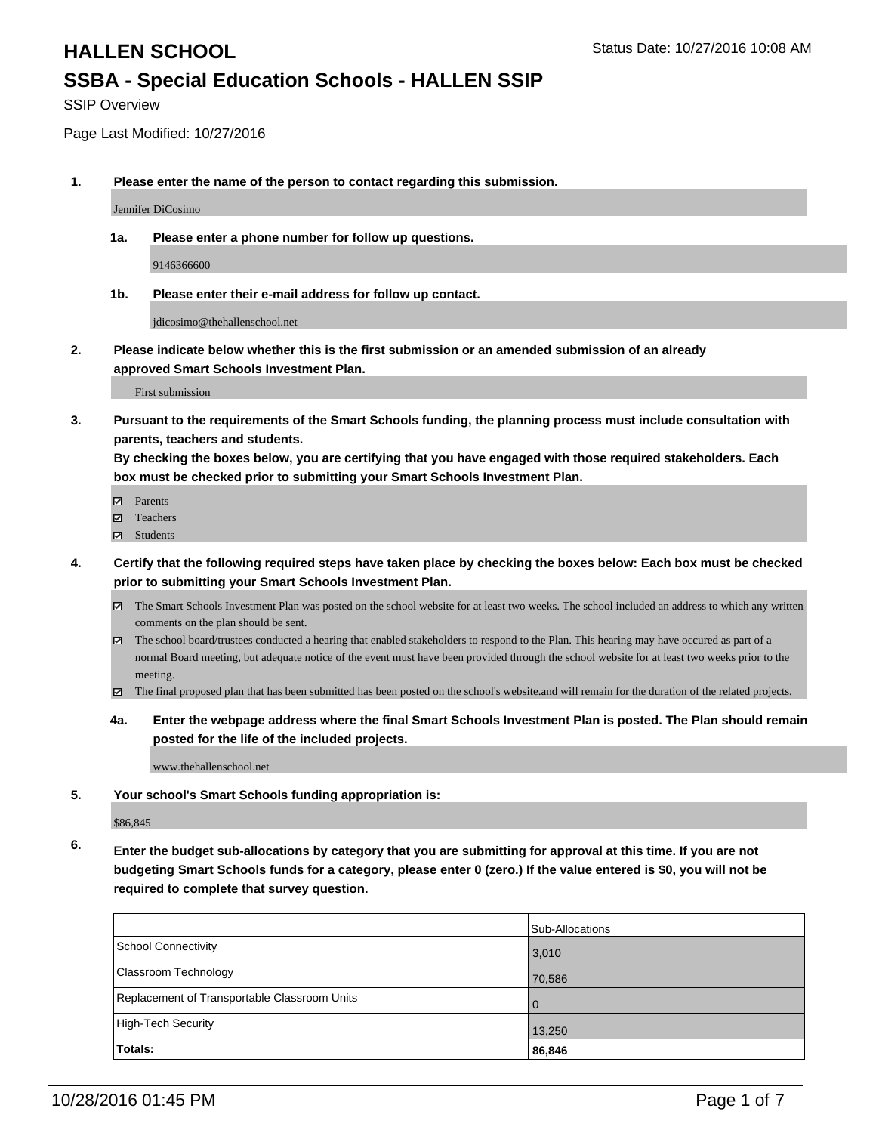# **SSBA - Special Education Schools - HALLEN SSIP**

SSIP Overview

Page Last Modified: 10/27/2016

**1. Please enter the name of the person to contact regarding this submission.**

Jennifer DiCosimo

**1a. Please enter a phone number for follow up questions.**

9146366600

**1b. Please enter their e-mail address for follow up contact.**

jdicosimo@thehallenschool.net

**2. Please indicate below whether this is the first submission or an amended submission of an already approved Smart Schools Investment Plan.**

First submission

**3. Pursuant to the requirements of the Smart Schools funding, the planning process must include consultation with parents, teachers and students.**

**By checking the boxes below, you are certifying that you have engaged with those required stakeholders. Each box must be checked prior to submitting your Smart Schools Investment Plan.**

- **Parents**
- Teachers
- Students
- **4. Certify that the following required steps have taken place by checking the boxes below: Each box must be checked prior to submitting your Smart Schools Investment Plan.**
	- The Smart Schools Investment Plan was posted on the school website for at least two weeks. The school included an address to which any written comments on the plan should be sent.
	- $\boxtimes$  The school board/trustees conducted a hearing that enabled stakeholders to respond to the Plan. This hearing may have occured as part of a normal Board meeting, but adequate notice of the event must have been provided through the school website for at least two weeks prior to the meeting.
	- The final proposed plan that has been submitted has been posted on the school's website.and will remain for the duration of the related projects.
	- **4a. Enter the webpage address where the final Smart Schools Investment Plan is posted. The Plan should remain posted for the life of the included projects.**

www.thehallenschool.net

**5. Your school's Smart Schools funding appropriation is:**

\$86,845

**6. Enter the budget sub-allocations by category that you are submitting for approval at this time. If you are not budgeting Smart Schools funds for a category, please enter 0 (zero.) If the value entered is \$0, you will not be required to complete that survey question.**

|                                              | Sub-Allocations |
|----------------------------------------------|-----------------|
| School Connectivity                          | 3,010           |
| <b>Classroom Technology</b>                  | 70,586          |
| Replacement of Transportable Classroom Units |                 |
| High-Tech Security                           | 13,250          |
| Totals:                                      | 86,846          |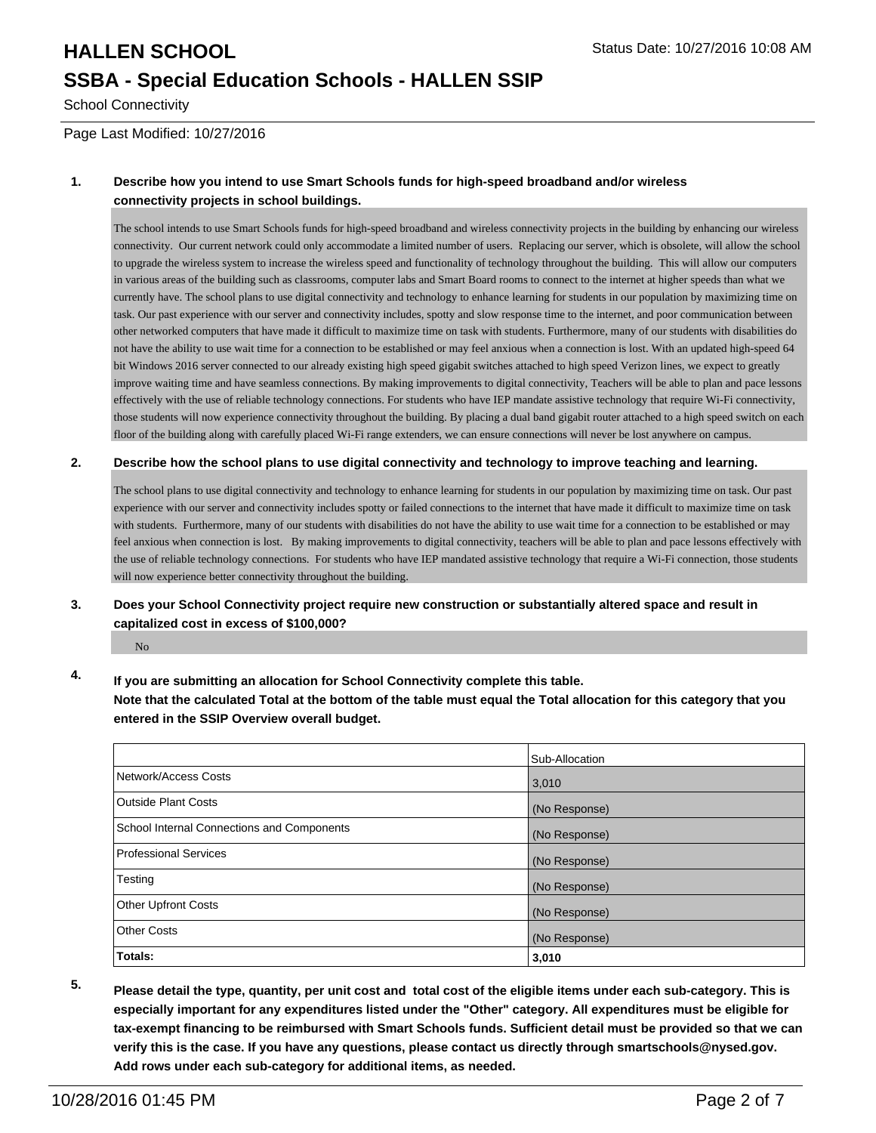## **HALLEN SCHOOL** STATES AND STATES STATES STATES STATES STATES STATES AND STATES STATES AND STATES STATES AND STATES STATES AND STATES AND STATES STATES AND STATES AND STATES AND STATES AND STATES AND STATES AND STATES AND **SSBA - Special Education Schools - HALLEN SSIP**

School Connectivity

Page Last Modified: 10/27/2016

#### **1. Describe how you intend to use Smart Schools funds for high-speed broadband and/or wireless connectivity projects in school buildings.**

The school intends to use Smart Schools funds for high-speed broadband and wireless connectivity projects in the building by enhancing our wireless connectivity. Our current network could only accommodate a limited number of users. Replacing our server, which is obsolete, will allow the school to upgrade the wireless system to increase the wireless speed and functionality of technology throughout the building. This will allow our computers in various areas of the building such as classrooms, computer labs and Smart Board rooms to connect to the internet at higher speeds than what we currently have. The school plans to use digital connectivity and technology to enhance learning for students in our population by maximizing time on task. Our past experience with our server and connectivity includes, spotty and slow response time to the internet, and poor communication between other networked computers that have made it difficult to maximize time on task with students. Furthermore, many of our students with disabilities do not have the ability to use wait time for a connection to be established or may feel anxious when a connection is lost. With an updated high-speed 64 bit Windows 2016 server connected to our already existing high speed gigabit switches attached to high speed Verizon lines, we expect to greatly improve waiting time and have seamless connections. By making improvements to digital connectivity, Teachers will be able to plan and pace lessons effectively with the use of reliable technology connections. For students who have IEP mandate assistive technology that require Wi-Fi connectivity, those students will now experience connectivity throughout the building. By placing a dual band gigabit router attached to a high speed switch on each floor of the building along with carefully placed Wi-Fi range extenders, we can ensure connections will never be lost anywhere on campus.

#### **2. Describe how the school plans to use digital connectivity and technology to improve teaching and learning.**

The school plans to use digital connectivity and technology to enhance learning for students in our population by maximizing time on task. Our past experience with our server and connectivity includes spotty or failed connections to the internet that have made it difficult to maximize time on task with students. Furthermore, many of our students with disabilities do not have the ability to use wait time for a connection to be established or may feel anxious when connection is lost. By making improvements to digital connectivity, teachers will be able to plan and pace lessons effectively with the use of reliable technology connections. For students who have IEP mandated assistive technology that require a Wi-Fi connection, those students will now experience better connectivity throughout the building.

#### **3. Does your School Connectivity project require new construction or substantially altered space and result in capitalized cost in excess of \$100,000?**

No

#### **4. If you are submitting an allocation for School Connectivity complete this table. Note that the calculated Total at the bottom of the table must equal the Total allocation for this category that you entered in the SSIP Overview overall budget.**

|                                                   | Sub-Allocation |
|---------------------------------------------------|----------------|
| Network/Access Costs                              | 3,010          |
| <b>Outside Plant Costs</b>                        | (No Response)  |
| <b>School Internal Connections and Components</b> | (No Response)  |
| Professional Services                             | (No Response)  |
| Testing                                           | (No Response)  |
| <b>Other Upfront Costs</b>                        | (No Response)  |
| Other Costs                                       | (No Response)  |
| Totals:                                           | 3,010          |

**5. Please detail the type, quantity, per unit cost and total cost of the eligible items under each sub-category. This is especially important for any expenditures listed under the "Other" category. All expenditures must be eligible for tax-exempt financing to be reimbursed with Smart Schools funds. Sufficient detail must be provided so that we can verify this is the case. If you have any questions, please contact us directly through smartschools@nysed.gov. Add rows under each sub-category for additional items, as needed.**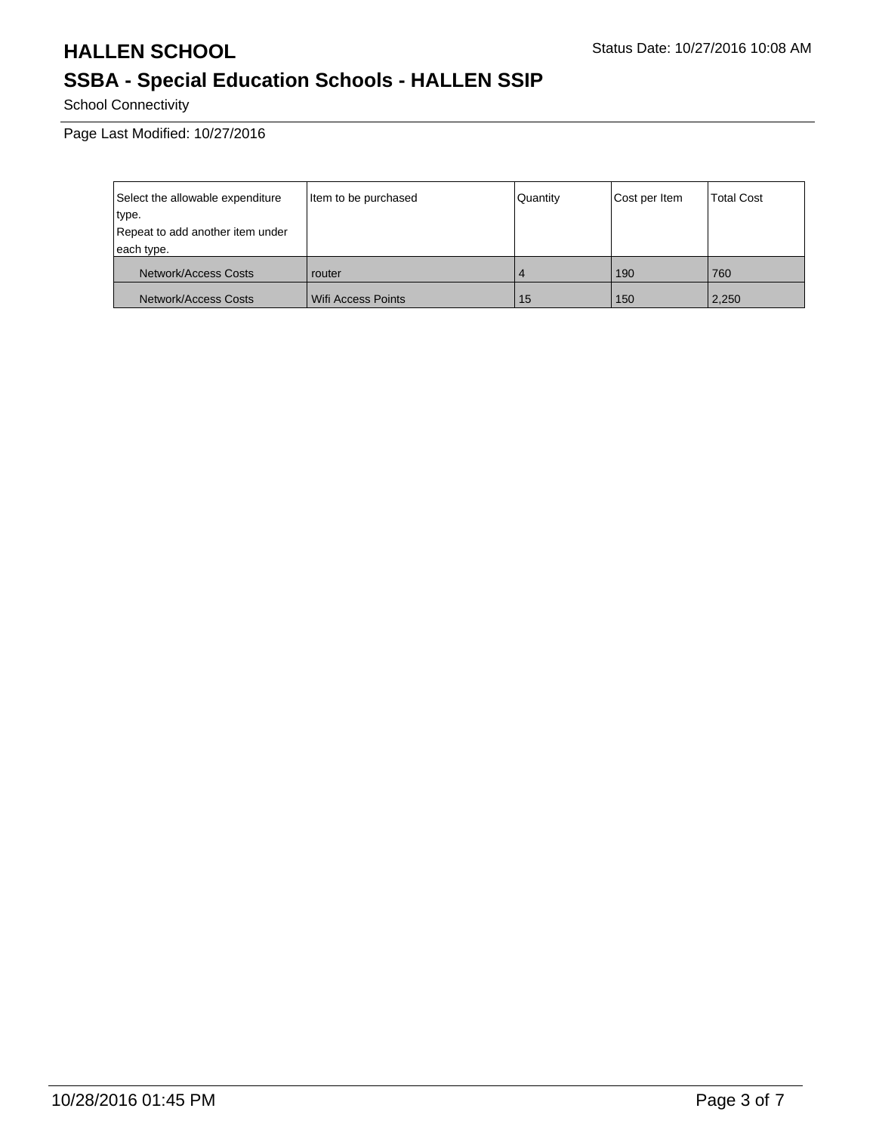## **HALLEN SCHOOL** Status Date: 10/27/2016 10:08 AM

## **SSBA - Special Education Schools - HALLEN SSIP**

School Connectivity

Page Last Modified: 10/27/2016

| Select the allowable expenditure | Item to be purchased | Quantity | Cost per Item | <b>Total Cost</b> |
|----------------------------------|----------------------|----------|---------------|-------------------|
| type.                            |                      |          |               |                   |
| Repeat to add another item under |                      |          |               |                   |
| each type.                       |                      |          |               |                   |
| Network/Access Costs             | router               |          | 190           | 760               |
| Network/Access Costs             | Wifi Access Points   | 15       | 150           | 2,250             |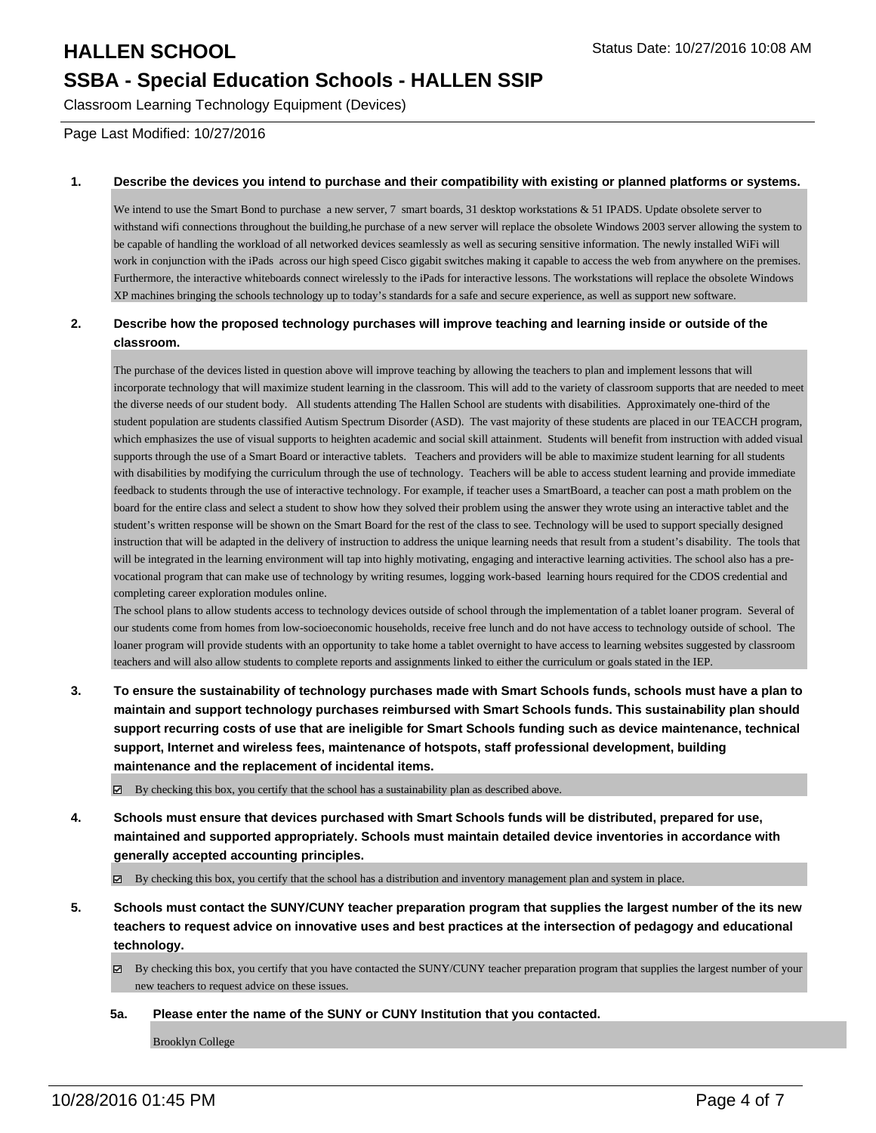## **HALLEN SCHOOL** Status Date: 10/27/2016 10:08 AM **SSBA - Special Education Schools - HALLEN SSIP**

Classroom Learning Technology Equipment (Devices)

Page Last Modified: 10/27/2016

#### **1. Describe the devices you intend to purchase and their compatibility with existing or planned platforms or systems.**

We intend to use the Smart Bond to purchase a new server, 7 smart boards, 31 desktop workstations & 51 IPADS. Update obsolete server to withstand wifi connections throughout the building,he purchase of a new server will replace the obsolete Windows 2003 server allowing the system to be capable of handling the workload of all networked devices seamlessly as well as securing sensitive information. The newly installed WiFi will work in conjunction with the iPads across our high speed Cisco gigabit switches making it capable to access the web from anywhere on the premises. Furthermore, the interactive whiteboards connect wirelessly to the iPads for interactive lessons. The workstations will replace the obsolete Windows XP machines bringing the schools technology up to today's standards for a safe and secure experience, as well as support new software.

#### **2. Describe how the proposed technology purchases will improve teaching and learning inside or outside of the classroom.**

The purchase of the devices listed in question above will improve teaching by allowing the teachers to plan and implement lessons that will incorporate technology that will maximize student learning in the classroom. This will add to the variety of classroom supports that are needed to meet the diverse needs of our student body. All students attending The Hallen School are students with disabilities. Approximately one-third of the student population are students classified Autism Spectrum Disorder (ASD). The vast majority of these students are placed in our TEACCH program, which emphasizes the use of visual supports to heighten academic and social skill attainment. Students will benefit from instruction with added visual supports through the use of a Smart Board or interactive tablets. Teachers and providers will be able to maximize student learning for all students with disabilities by modifying the curriculum through the use of technology. Teachers will be able to access student learning and provide immediate feedback to students through the use of interactive technology. For example, if teacher uses a SmartBoard, a teacher can post a math problem on the board for the entire class and select a student to show how they solved their problem using the answer they wrote using an interactive tablet and the student's written response will be shown on the Smart Board for the rest of the class to see. Technology will be used to support specially designed instruction that will be adapted in the delivery of instruction to address the unique learning needs that result from a student's disability. The tools that will be integrated in the learning environment will tap into highly motivating, engaging and interactive learning activities. The school also has a prevocational program that can make use of technology by writing resumes, logging work-based learning hours required for the CDOS credential and completing career exploration modules online.

The school plans to allow students access to technology devices outside of school through the implementation of a tablet loaner program. Several of our students come from homes from low-socioeconomic households, receive free lunch and do not have access to technology outside of school. The loaner program will provide students with an opportunity to take home a tablet overnight to have access to learning websites suggested by classroom teachers and will also allow students to complete reports and assignments linked to either the curriculum or goals stated in the IEP.

**3. To ensure the sustainability of technology purchases made with Smart Schools funds, schools must have a plan to maintain and support technology purchases reimbursed with Smart Schools funds. This sustainability plan should support recurring costs of use that are ineligible for Smart Schools funding such as device maintenance, technical support, Internet and wireless fees, maintenance of hotspots, staff professional development, building maintenance and the replacement of incidental items.**

 $\boxtimes$  By checking this box, you certify that the school has a sustainability plan as described above.

- **4. Schools must ensure that devices purchased with Smart Schools funds will be distributed, prepared for use, maintained and supported appropriately. Schools must maintain detailed device inventories in accordance with generally accepted accounting principles.**
	- By checking this box, you certify that the school has a distribution and inventory management plan and system in place.
- **5. Schools must contact the SUNY/CUNY teacher preparation program that supplies the largest number of the its new teachers to request advice on innovative uses and best practices at the intersection of pedagogy and educational technology.**
	- $\boxtimes$  By checking this box, you certify that you have contacted the SUNY/CUNY teacher preparation program that supplies the largest number of your new teachers to request advice on these issues.
	- **5a. Please enter the name of the SUNY or CUNY Institution that you contacted.**

Brooklyn College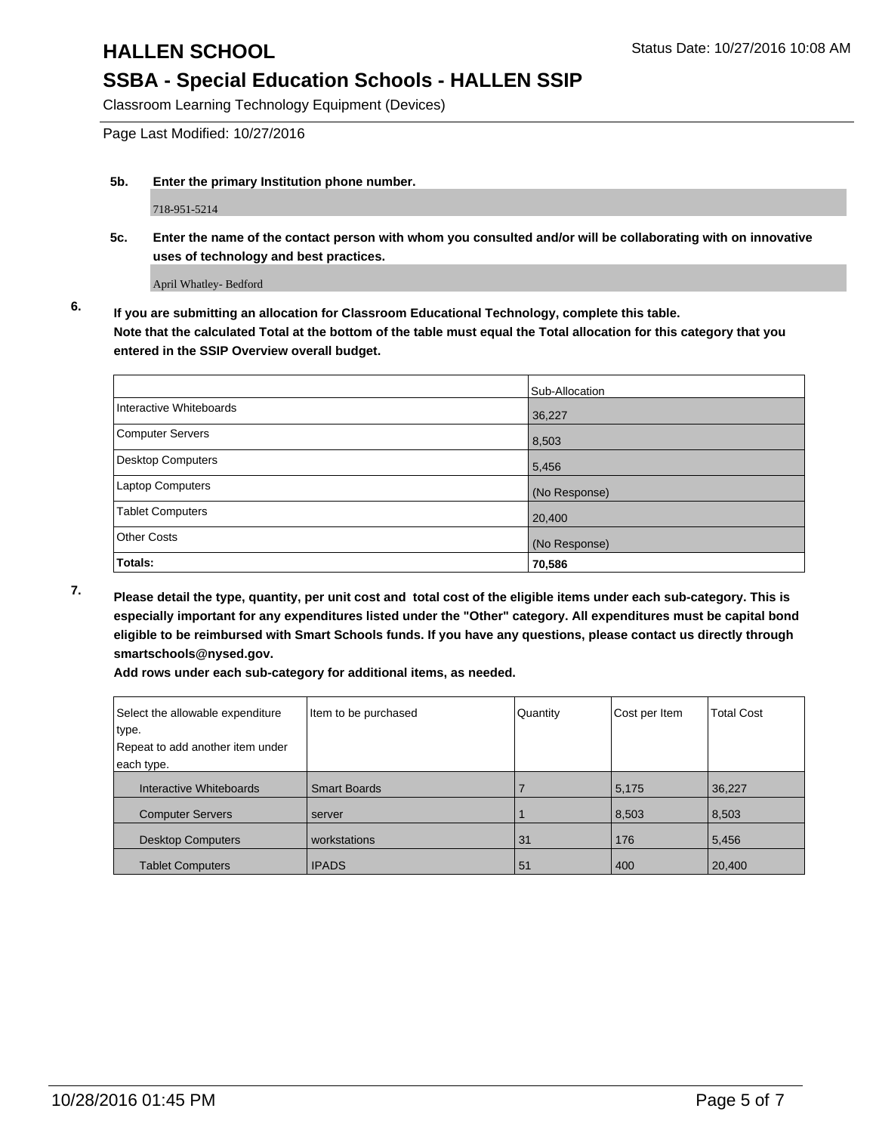### **SSBA - Special Education Schools - HALLEN SSIP**

Classroom Learning Technology Equipment (Devices)

Page Last Modified: 10/27/2016

**5b. Enter the primary Institution phone number.**

718-951-5214

**5c. Enter the name of the contact person with whom you consulted and/or will be collaborating with on innovative uses of technology and best practices.**

April Whatley- Bedford

**6. If you are submitting an allocation for Classroom Educational Technology, complete this table. Note that the calculated Total at the bottom of the table must equal the Total allocation for this category that you entered in the SSIP Overview overall budget.**

|                          | Sub-Allocation |
|--------------------------|----------------|
| Interactive Whiteboards  | 36,227         |
| Computer Servers         | 8,503          |
| <b>Desktop Computers</b> | 5,456          |
| Laptop Computers         | (No Response)  |
| Tablet Computers         | 20,400         |
| <b>Other Costs</b>       | (No Response)  |
| Totals:                  | 70,586         |

**7. Please detail the type, quantity, per unit cost and total cost of the eligible items under each sub-category. This is especially important for any expenditures listed under the "Other" category. All expenditures must be capital bond eligible to be reimbursed with Smart Schools funds. If you have any questions, please contact us directly through smartschools@nysed.gov.**

**Add rows under each sub-category for additional items, as needed.**

| Select the allowable expenditure | Item to be purchased | Quantity | Cost per Item | <b>Total Cost</b> |
|----------------------------------|----------------------|----------|---------------|-------------------|
| type.                            |                      |          |               |                   |
| Repeat to add another item under |                      |          |               |                   |
| each type.                       |                      |          |               |                   |
| Interactive Whiteboards          | <b>Smart Boards</b>  |          | 5,175         | 36,227            |
| <b>Computer Servers</b>          | server               |          | 8,503         | 8,503             |
| <b>Desktop Computers</b>         | workstations         | 31       | 176           | 5.456             |
| <b>Tablet Computers</b>          | <b>IPADS</b>         | 51       | 400           | 20,400            |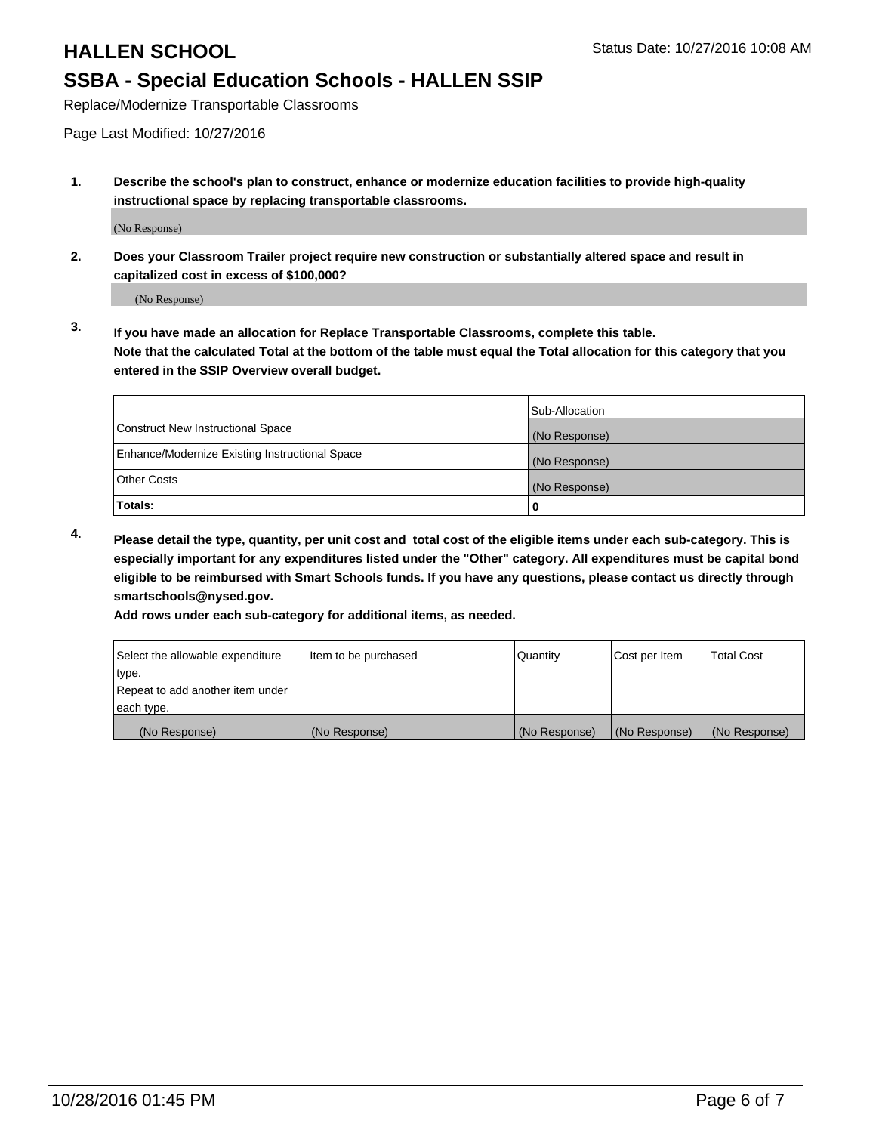# **HALLEN SCHOOL** STATES AND STATES STATES STATES STATES STATES STATES AND STATES STATES AND STATES STATES AND STATES STATES AND STATES STATES AND STATES STATES AND STATES AND STATES AND STATES AND STATES AND STATES AND STAT

## **SSBA - Special Education Schools - HALLEN SSIP**

Replace/Modernize Transportable Classrooms

Page Last Modified: 10/27/2016

**1. Describe the school's plan to construct, enhance or modernize education facilities to provide high-quality instructional space by replacing transportable classrooms.**

(No Response)

**2. Does your Classroom Trailer project require new construction or substantially altered space and result in capitalized cost in excess of \$100,000?**

(No Response)

**3. If you have made an allocation for Replace Transportable Classrooms, complete this table. Note that the calculated Total at the bottom of the table must equal the Total allocation for this category that you entered in the SSIP Overview overall budget.**

|                                                | Sub-Allocation |
|------------------------------------------------|----------------|
| Construct New Instructional Space              | (No Response)  |
| Enhance/Modernize Existing Instructional Space | (No Response)  |
| <b>Other Costs</b>                             | (No Response)  |
| Totals:                                        |                |

**4. Please detail the type, quantity, per unit cost and total cost of the eligible items under each sub-category. This is especially important for any expenditures listed under the "Other" category. All expenditures must be capital bond eligible to be reimbursed with Smart Schools funds. If you have any questions, please contact us directly through smartschools@nysed.gov.**

**Add rows under each sub-category for additional items, as needed.**

| Select the allowable expenditure | Item to be purchased | Quantity      | Cost per Item | <b>Total Cost</b> |
|----------------------------------|----------------------|---------------|---------------|-------------------|
| ∣type.                           |                      |               |               |                   |
| Repeat to add another item under |                      |               |               |                   |
| each type.                       |                      |               |               |                   |
| (No Response)                    | (No Response)        | (No Response) | (No Response) | (No Response)     |